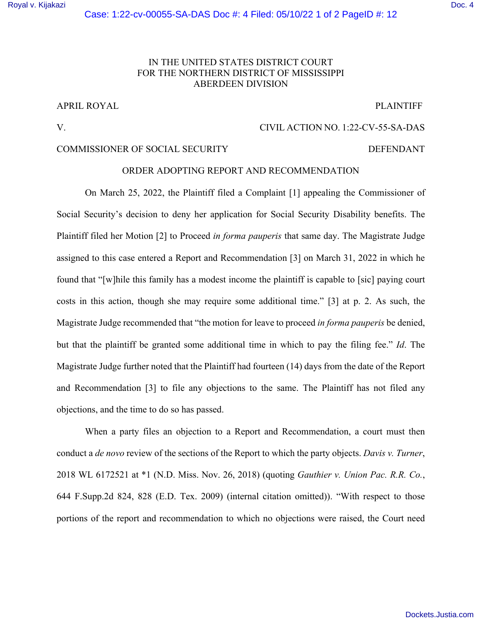### IN THE UNITED STATES DISTRICT COURT FOR THE NORTHERN DISTRICT OF MISSISSIPPI ABERDEEN DIVISION

### APRIL ROYAL PLAINTIFF

## V. CIVIL ACTION NO. 1:22-CV-55-SA-DAS

### COMMISSIONER OF SOCIAL SECURITY DEFENDANT

# ORDER ADOPTING REPORT AND RECOMMENDATION

 On March 25, 2022, the Plaintiff filed a Complaint [1] appealing the Commissioner of Social Security's decision to deny her application for Social Security Disability benefits. The Plaintiff filed her Motion [2] to Proceed *in forma pauperis* that same day. The Magistrate Judge assigned to this case entered a Report and Recommendation [3] on March 31, 2022 in which he found that "[w]hile this family has a modest income the plaintiff is capable to [sic] paying court costs in this action, though she may require some additional time." [3] at p. 2. As such, the Magistrate Judge recommended that "the motion for leave to proceed *in forma pauperis* be denied, but that the plaintiff be granted some additional time in which to pay the filing fee." *Id*. The Magistrate Judge further noted that the Plaintiff had fourteen (14) days from the date of the Report and Recommendation [3] to file any objections to the same. The Plaintiff has not filed any objections, and the time to do so has passed.

When a party files an objection to a Report and Recommendation, a court must then conduct a *de novo* review of the sections of the Report to which the party objects. *Davis v. Turner*, 2018 WL 6172521 at \*1 (N.D. Miss. Nov. 26, 2018) (quoting *Gauthier v. Union Pac. R.R. Co.*, 644 F.Supp.2d 824, 828 (E.D. Tex. 2009) (internal citation omitted)). "With respect to those portions of the report and recommendation to which no objections were raised, the Court need